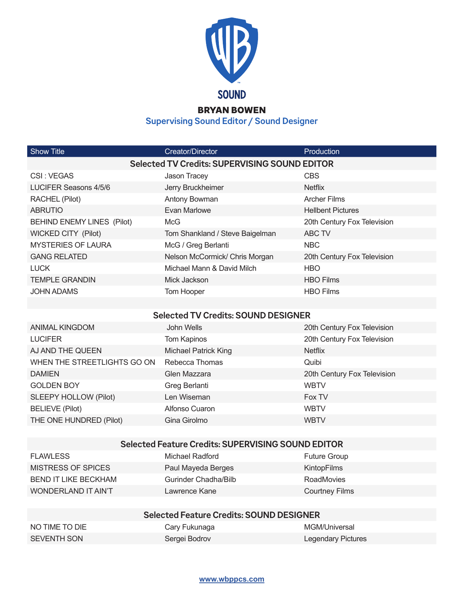

## BRYAN BOWEN

**Supervising Sound Editor / Sound Designer**

| <b>Show Title</b>                                         | Creator/Director                           | Production                  |  |  |
|-----------------------------------------------------------|--------------------------------------------|-----------------------------|--|--|
| <b>Selected TV Credits: SUPERVISING SOUND EDITOR</b>      |                                            |                             |  |  |
| CSI: VEGAS                                                | Jason Tracey                               | <b>CBS</b>                  |  |  |
| <b>LUCIFER Seasons 4/5/6</b>                              | Jerry Bruckheimer                          | <b>Netflix</b>              |  |  |
| RACHEL (Pilot)                                            | Antony Bowman                              | <b>Archer Films</b>         |  |  |
| <b>ABRUTIO</b>                                            | Evan Marlowe                               | <b>Hellbent Pictures</b>    |  |  |
| <b>BEHIND ENEMY LINES (Pilot)</b>                         | <b>McG</b>                                 | 20th Century Fox Television |  |  |
| <b>WICKED CITY (Pilot)</b>                                | Tom Shankland / Steve Baigelman            | <b>ABC TV</b>               |  |  |
| <b>MYSTERIES OF LAURA</b>                                 | McG / Greg Berlanti                        | <b>NBC</b>                  |  |  |
| <b>GANG RELATED</b>                                       | Nelson McCormick/ Chris Morgan             | 20th Century Fox Television |  |  |
| <b>LUCK</b>                                               | Michael Mann & David Milch                 | <b>HBO</b>                  |  |  |
| <b>TEMPLE GRANDIN</b>                                     | Mick Jackson                               | <b>HBO Films</b>            |  |  |
| <b>JOHN ADAMS</b>                                         | Tom Hooper                                 | <b>HBO Films</b>            |  |  |
|                                                           |                                            |                             |  |  |
|                                                           | <b>Selected TV Credits: SOUND DESIGNER</b> |                             |  |  |
| <b>ANIMAL KINGDOM</b>                                     | John Wells                                 | 20th Century Fox Television |  |  |
| <b>LUCIFER</b>                                            | Tom Kapinos                                | 20th Century Fox Television |  |  |
| AJ AND THE QUEEN                                          | <b>Michael Patrick King</b>                | <b>Netflix</b>              |  |  |
| WHEN THE STREETLIGHTS GO ON                               | Rebecca Thomas                             | Quibi                       |  |  |
| <b>DAMIEN</b>                                             | Glen Mazzara                               | 20th Century Fox Television |  |  |
| <b>GOLDEN BOY</b>                                         | Greg Berlanti                              | <b>WBTV</b>                 |  |  |
| SLEEPY HOLLOW (Pilot)                                     | Len Wiseman                                | Fox TV                      |  |  |
| <b>BELIEVE (Pilot)</b>                                    | Alfonso Cuaron                             | <b>WBTV</b>                 |  |  |
| THE ONE HUNDRED (Pilot)                                   | Gina Girolmo                               | <b>WBTV</b>                 |  |  |
|                                                           |                                            |                             |  |  |
| <b>Selected Feature Credits: SUPERVISING SOUND EDITOR</b> |                                            |                             |  |  |
| <b>FLAWLESS</b>                                           | Michael Radford                            | <b>Future Group</b>         |  |  |

| FLAWLESS             | Michael Radford      | <b>Future Group</b>   |
|----------------------|----------------------|-----------------------|
| MISTRESS OF SPICES   | Paul Mayeda Berges   | KintopFilms           |
| BEND IT LIKE BECKHAM | Gurinder Chadha/Bilb | <b>RoadMovies</b>     |
| WONDERLAND IT AIN'T  | Lawrence Kane        | <b>Courtney Films</b> |

| <b>Selected Feature Credits: SOUND DESIGNER</b> |               |                    |  |  |
|-------------------------------------------------|---------------|--------------------|--|--|
| NO TIME TO DIE                                  | Cary Fukunaga | MGM/Universal      |  |  |
| SEVENTH SON                                     | Sergei Bodrov | Legendary Pictures |  |  |

## **www.wbppcs.com**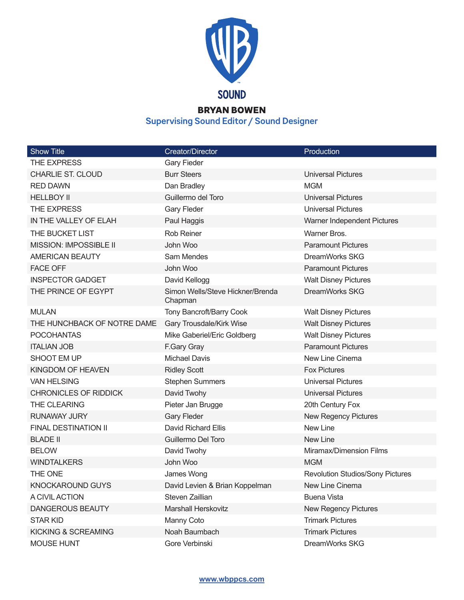

## BRYAN BOWEN

**Supervising Sound Editor / Sound Designer**

| <b>Show Title</b>            | Creator/Director                            | Production                              |
|------------------------------|---------------------------------------------|-----------------------------------------|
| THE EXPRESS                  | <b>Gary Fieder</b>                          |                                         |
| <b>CHARLIE ST. CLOUD</b>     | <b>Burr Steers</b>                          | <b>Universal Pictures</b>               |
| <b>RED DAWN</b>              | Dan Bradley                                 | <b>MGM</b>                              |
| <b>HELLBOY II</b>            | Guillermo del Toro                          | <b>Universal Pictures</b>               |
| THE EXPRESS                  | <b>Gary Fleder</b>                          | <b>Universal Pictures</b>               |
| IN THE VALLEY OF ELAH        | Paul Haggis                                 | Warner Independent Pictures             |
| THE BUCKET LIST              | <b>Rob Reiner</b>                           | Warner Bros.                            |
| MISSION: IMPOSSIBLE II       | John Woo                                    | <b>Paramount Pictures</b>               |
| <b>AMERICAN BEAUTY</b>       | Sam Mendes                                  | DreamWorks SKG                          |
| <b>FACE OFF</b>              | John Woo                                    | <b>Paramount Pictures</b>               |
| <b>INSPECTOR GADGET</b>      | David Kellogg                               | <b>Walt Disney Pictures</b>             |
| THE PRINCE OF EGYPT          | Simon Wells/Steve Hickner/Brenda<br>Chapman | DreamWorks SKG                          |
| <b>MULAN</b>                 | Tony Bancroft/Barry Cook                    | <b>Walt Disney Pictures</b>             |
| THE HUNCHBACK OF NOTRE DAME  | Gary Trousdale/Kirk Wise                    | <b>Walt Disney Pictures</b>             |
| <b>POCOHANTAS</b>            | Mike Gaberiel/Eric Goldberg                 | <b>Walt Disney Pictures</b>             |
| <b>ITALIAN JOB</b>           | F.Gary Gray                                 | <b>Paramount Pictures</b>               |
| SHOOT EM UP                  | <b>Michael Davis</b>                        | New Line Cinema                         |
| KINGDOM OF HEAVEN            | <b>Ridley Scott</b>                         | <b>Fox Pictures</b>                     |
| <b>VAN HELSING</b>           | <b>Stephen Summers</b>                      | <b>Universal Pictures</b>               |
| <b>CHRONICLES OF RIDDICK</b> | David Twohy                                 | <b>Universal Pictures</b>               |
| THE CLEARING                 | Pieter Jan Brugge                           | 20th Century Fox                        |
| <b>RUNAWAY JURY</b>          | <b>Gary Fleder</b>                          | New Regency Pictures                    |
| FINAL DESTINATION II         | <b>David Richard Ellis</b>                  | New Line                                |
| <b>BLADE II</b>              | Guillermo Del Toro                          | New Line                                |
| <b>BELOW</b>                 | David Twohy                                 | Miramax/Dimension Films                 |
| <b>WINDTALKERS</b>           | John Woo                                    | <b>MGM</b>                              |
| THE ONE                      | James Wong                                  | <b>Revolution Studios/Sony Pictures</b> |
| <b>KNOCKAROUND GUYS</b>      | David Levien & Brian Koppelman              | New Line Cinema                         |
| A CIVIL ACTION               | Steven Zaillian                             | <b>Buena Vista</b>                      |
| <b>DANGEROUS BEAUTY</b>      | <b>Marshall Herskovitz</b>                  | <b>New Regency Pictures</b>             |
| <b>STAR KID</b>              | Manny Coto                                  | <b>Trimark Pictures</b>                 |
| KICKING & SCREAMING          | Noah Baumbach                               | <b>Trimark Pictures</b>                 |
| MOUSE HUNT                   | Gore Verbinski                              | DreamWorks SKG                          |